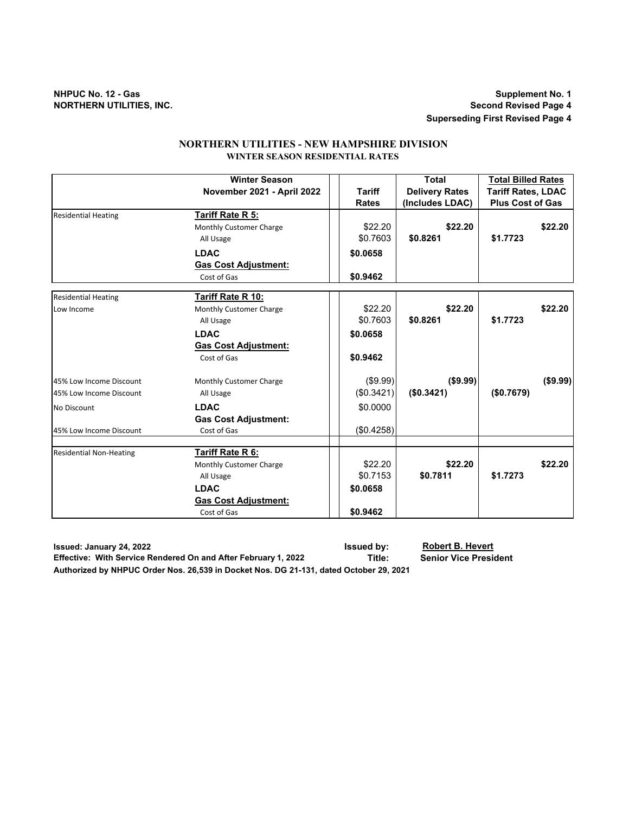## **NHPUC No. 12 - Gas Supplement No. 1 NORTHERN UTILITIES, INC. Second Revised Page 4**

**Superseding First Revised Page 4**

## **NORTHERN UTILITIES - NEW HAMPSHIRE DIVISION WINTER SEASON RESIDENTIAL RATES**

|                                | <b>Winter Season</b>        |               | <b>Total</b>          | <b>Total Billed Rates</b> |
|--------------------------------|-----------------------------|---------------|-----------------------|---------------------------|
|                                | November 2021 - April 2022  | <b>Tariff</b> | <b>Delivery Rates</b> | <b>Tariff Rates, LDAC</b> |
|                                |                             | <b>Rates</b>  | (Includes LDAC)       | <b>Plus Cost of Gas</b>   |
| <b>Residential Heating</b>     | Tariff Rate R 5:            |               |                       |                           |
|                                | Monthly Customer Charge     | \$22.20       | \$22.20               | \$22.20                   |
|                                | All Usage                   | \$0.7603      | \$0.8261              | \$1.7723                  |
|                                | <b>LDAC</b>                 | \$0.0658      |                       |                           |
|                                | <b>Gas Cost Adjustment:</b> |               |                       |                           |
|                                | Cost of Gas                 | \$0.9462      |                       |                           |
| <b>Residential Heating</b>     | Tariff Rate R 10:           |               |                       |                           |
| Low Income                     | Monthly Customer Charge     | \$22.20       | \$22.20               | \$22.20                   |
|                                | All Usage                   | \$0.7603      | \$0.8261              | \$1.7723                  |
|                                | <b>LDAC</b>                 | \$0.0658      |                       |                           |
|                                | <b>Gas Cost Adjustment:</b> |               |                       |                           |
|                                | Cost of Gas                 | \$0.9462      |                       |                           |
| 45% Low Income Discount        | Monthly Customer Charge     | (\$9.99)      | (\$9.99)              | (\$9.99)                  |
| 45% Low Income Discount        | All Usage                   | (\$0.3421)    | (\$0.3421)            | (\$0.7679)                |
| <b>No Discount</b>             | <b>LDAC</b>                 | \$0.0000      |                       |                           |
|                                | <b>Gas Cost Adjustment:</b> |               |                       |                           |
| 45% Low Income Discount        | Cost of Gas                 | (\$0.4258)    |                       |                           |
|                                |                             |               |                       |                           |
| <b>Residential Non-Heating</b> | Tariff Rate R 6:            |               |                       |                           |
|                                | Monthly Customer Charge     | \$22.20       | \$22.20               | \$22.20                   |
|                                | All Usage                   | \$0.7153      | \$0.7811              | \$1.7273                  |
|                                | <b>LDAC</b>                 | \$0.0658      |                       |                           |
|                                | <b>Gas Cost Adjustment:</b> |               |                       |                           |
|                                | Cost of Gas                 | \$0.9462      |                       |                           |

**Issued: January 24, 2022 Issued by: Robert B. Hevert Effective: With Service Rendered On and After February 1, 2022** Title:

**Authorized by NHPUC Order Nos. 26,539 in Docket Nos. DG 21-131, dated October 29, 2021**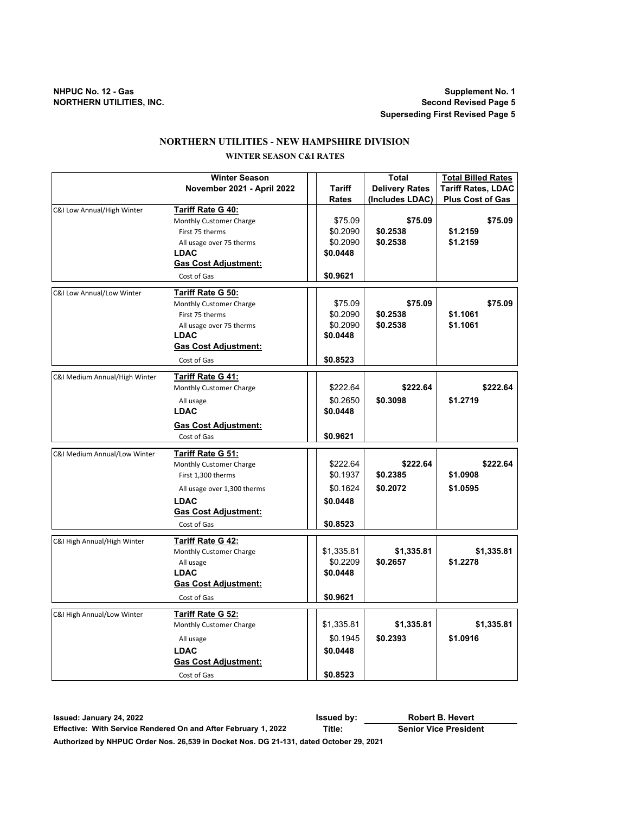**NHPUC No. 12 - Gas Supplement No. 1 Superseding First Revised Page 5**

## **NORTHERN UTILITIES - NEW HAMPSHIRE DIVISION**

# **WINTER SEASON C&I RATES**

|                               | <b>Winter Season</b>        |              | <b>Total</b>          | <b>Total Billed Rates</b> |
|-------------------------------|-----------------------------|--------------|-----------------------|---------------------------|
|                               | November 2021 - April 2022  | Tariff       | <b>Delivery Rates</b> | <b>Tariff Rates, LDAC</b> |
|                               |                             | <b>Rates</b> | (Includes LDAC)       | <b>Plus Cost of Gas</b>   |
| C&I Low Annual/High Winter    | <b>Tariff Rate G 40:</b>    |              |                       |                           |
|                               | Monthly Customer Charge     | \$75.09      | \$75.09               | \$75.09                   |
|                               | First 75 therms             | \$0.2090     | \$0.2538              | \$1.2159                  |
|                               | All usage over 75 therms    | \$0.2090     | \$0.2538              | \$1.2159                  |
|                               | <b>LDAC</b>                 | \$0.0448     |                       |                           |
|                               | <b>Gas Cost Adjustment:</b> |              |                       |                           |
|                               | Cost of Gas                 | \$0.9621     |                       |                           |
| C&I Low Annual/Low Winter     | <b>Tariff Rate G 50:</b>    |              |                       |                           |
|                               | Monthly Customer Charge     | \$75.09      | \$75.09               | \$75.09                   |
|                               | First 75 therms             | \$0.2090     | \$0.2538              | \$1.1061                  |
|                               | All usage over 75 therms    | \$0.2090     | \$0.2538              | \$1.1061                  |
|                               | <b>LDAC</b>                 | \$0.0448     |                       |                           |
|                               | <b>Gas Cost Adjustment:</b> |              |                       |                           |
|                               | Cost of Gas                 | \$0.8523     |                       |                           |
| C&I Medium Annual/High Winter | <b>Tariff Rate G 41:</b>    |              |                       |                           |
|                               | Monthly Customer Charge     | \$222.64     | \$222.64              | \$222.64                  |
|                               | All usage                   | \$0.2650     | \$0.3098              | \$1.2719                  |
|                               | <b>LDAC</b>                 | \$0.0448     |                       |                           |
|                               | <b>Gas Cost Adjustment:</b> |              |                       |                           |
|                               | Cost of Gas                 | \$0.9621     |                       |                           |
| C&I Medium Annual/Low Winter  | <b>Tariff Rate G 51:</b>    |              |                       |                           |
|                               | Monthly Customer Charge     | \$222.64     | \$222.64              | \$222.64                  |
|                               | First 1,300 therms          | \$0.1937     | \$0.2385              | \$1.0908                  |
|                               | All usage over 1,300 therms | \$0.1624     | \$0.2072              | \$1.0595                  |
|                               | <b>LDAC</b>                 | \$0.0448     |                       |                           |
|                               | <b>Gas Cost Adjustment:</b> |              |                       |                           |
|                               | Cost of Gas                 | \$0.8523     |                       |                           |
| C&I High Annual/High Winter   | <b>Tariff Rate G 42:</b>    |              |                       |                           |
|                               | Monthly Customer Charge     | \$1,335.81   | \$1,335.81            | \$1,335.81                |
|                               | All usage                   | \$0.2209     | \$0.2657              | \$1.2278                  |
|                               | <b>LDAC</b>                 | \$0.0448     |                       |                           |
|                               | <b>Gas Cost Adjustment:</b> |              |                       |                           |
|                               | Cost of Gas                 | \$0.9621     |                       |                           |
| C&I High Annual/Low Winter    | <b>Tariff Rate G 52:</b>    |              |                       |                           |
|                               | Monthly Customer Charge     | \$1,335.81   | \$1,335.81            | \$1,335.81                |
|                               | All usage                   | \$0.1945     | \$0.2393              | \$1.0916                  |
|                               | <b>LDAC</b>                 | \$0.0448     |                       |                           |
|                               | <b>Gas Cost Adjustment:</b> |              |                       |                           |
|                               | Cost of Gas                 | \$0.8523     |                       |                           |

**Issued: January 24, 2022 Issued by: Effective: With Service Rendered On and After February 1, 2022 Title: Authorized by NHPUC Order Nos. 26,539 in Docket Nos. DG 21-131, dated October 29, 2021 Robert B. Hevert Senior Vice President**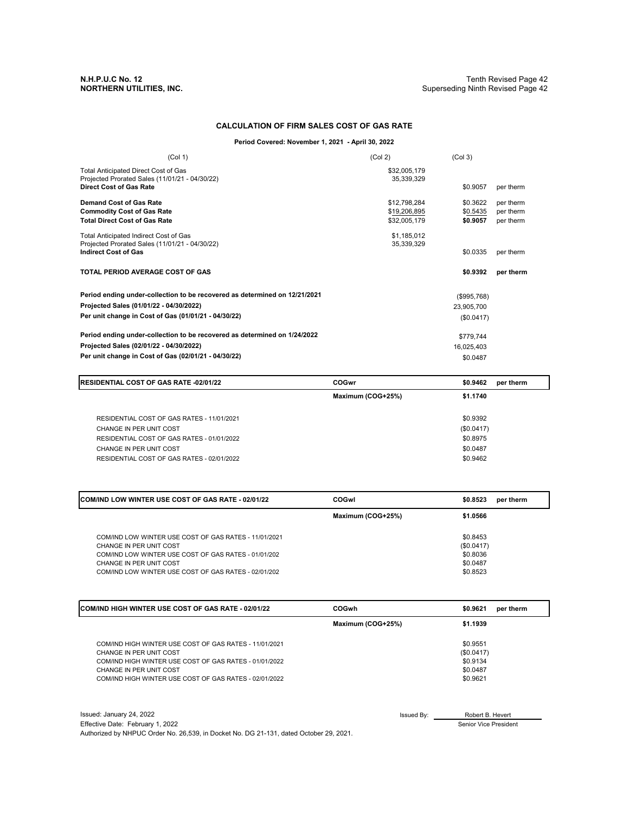## **CALCULATION OF FIRM SALES COST OF GAS RATE**

### **Period Covered: November 1, 2021 - April 30, 2022**

| (Col 1)                                                                                | (Col 2)                    | (Col <sub>3</sub> ) |           |
|----------------------------------------------------------------------------------------|----------------------------|---------------------|-----------|
| Total Anticipated Direct Cost of Gas<br>Projected Prorated Sales (11/01/21 - 04/30/22) | \$32,005,179<br>35,339,329 |                     |           |
| <b>Direct Cost of Gas Rate</b>                                                         |                            | \$0.9057            | per therm |
| Demand Cost of Gas Rate                                                                | \$12,798,284               | \$0.3622            | per therm |
| <b>Commodity Cost of Gas Rate</b>                                                      | \$19,206,895               | \$0.5435            | per therm |
| <b>Total Direct Cost of Gas Rate</b>                                                   | \$32,005,179               | \$0.9057            | per therm |
| Total Anticipated Indirect Cost of Gas                                                 | \$1,185,012                |                     |           |
| Projected Prorated Sales (11/01/21 - 04/30/22)<br><b>Indirect Cost of Gas</b>          | 35,339,329                 | \$0.0335            | per therm |
| TOTAL PERIOD AVERAGE COST OF GAS                                                       |                            | \$0.9392            | per therm |
| Period ending under-collection to be recovered as determined on 12/21/2021             |                            | (\$995,768)         |           |
| Projected Sales (01/01/22 - 04/30/2022)                                                |                            | 23,905,700          |           |
| Per unit change in Cost of Gas (01/01/21 - 04/30/22)                                   |                            | (\$0.0417)          |           |
| Period ending under-collection to be recovered as determined on 1/24/2022              |                            | \$779,744           |           |
| Projected Sales (02/01/22 - 04/30/2022)                                                |                            | 16,025,403          |           |
| Per unit change in Cost of Gas (02/01/21 - 04/30/22)                                   |                            | \$0.0487            |           |

| <b>IRESIDENTIAL COST OF GAS RATE -02/01/22</b>                        | COGwr             | \$0.9462               | per therm |
|-----------------------------------------------------------------------|-------------------|------------------------|-----------|
|                                                                       | Maximum (COG+25%) | \$1.1740               |           |
| RESIDENTIAL COST OF GAS RATES - 11/01/2021<br>CHANGE IN PER UNIT COST |                   | \$0.9392<br>(\$0.0417) |           |
| RESIDENTIAL COST OF GAS RATES - 01/01/2022<br>CHANGE IN PER UNIT COST |                   | \$0.8975<br>\$0.0487   |           |
| RESIDENTIAL COST OF GAS RATES - 02/01/2022                            |                   | \$0.9462               |           |

| <b>ICOM/IND LOW WINTER USE COST OF GAS RATE - 02/01/22</b>                      | COGwl             | \$0.8523               | per therm |
|---------------------------------------------------------------------------------|-------------------|------------------------|-----------|
|                                                                                 | Maximum (COG+25%) | \$1.0566               |           |
| COM/IND LOW WINTER USE COST OF GAS RATES - 11/01/2021                           |                   | \$0.8453               |           |
| CHANGE IN PER UNIT COST<br>COM/IND LOW WINTER USE COST OF GAS RATES - 01/01/202 |                   | (\$0.0417)<br>\$0.8036 |           |
| CHANGE IN PER UNIT COST<br>COM/IND LOW WINTER USE COST OF GAS RATES - 02/01/202 |                   | \$0.0487<br>\$0.8523   |           |

| <b>ICOM/IND HIGH WINTER USE COST OF GAS RATE - 02/01/22</b>                                                                                                                                                                      | COGwh             | \$0.9621<br>per therm                                      |  |
|----------------------------------------------------------------------------------------------------------------------------------------------------------------------------------------------------------------------------------|-------------------|------------------------------------------------------------|--|
|                                                                                                                                                                                                                                  | Maximum (COG+25%) | \$1.1939                                                   |  |
| COM/IND HIGH WINTER USE COST OF GAS RATES - 11/01/2021<br>CHANGE IN PER UNIT COST<br>COM/IND HIGH WINTER USE COST OF GAS RATES - 01/01/2022<br>CHANGE IN PER UNIT COST<br>COM/IND HIGH WINTER USE COST OF GAS RATES - 02/01/2022 |                   | \$0.9551<br>(\$0.0417)<br>\$0.9134<br>\$0.0487<br>\$0.9621 |  |

Issued: January 24, 2022 Issued By:  $\qquad \qquad$ Effective Date: February 1, 2022 Authorized by NHPUC Order No. 26,539, in Docket No. DG 21-131, dated October 29, 2021.

Robert B. Hevert

Senior Vice President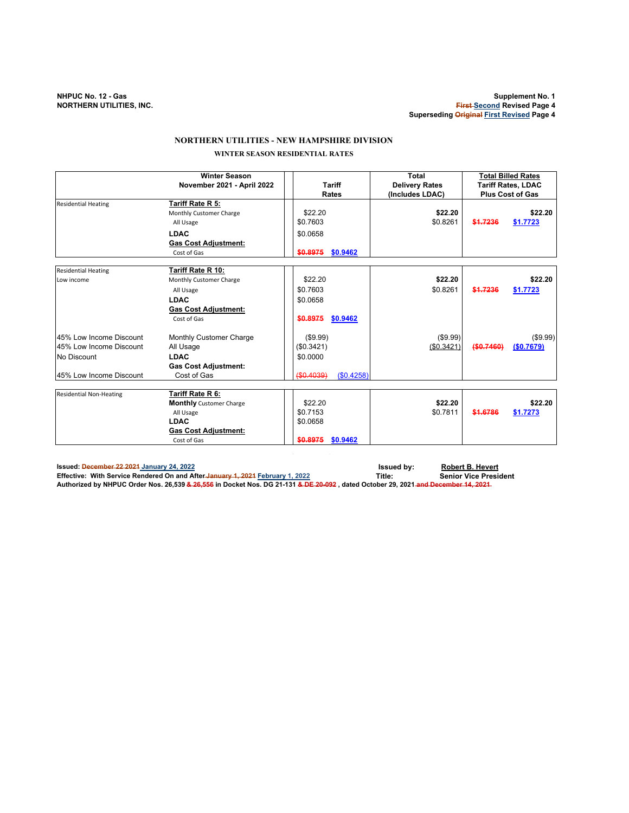# **NORTHERN UTILITIES - NEW HAMPSHIRE DIVISION WINTER SEASON RESIDENTIAL RATES**

|                                | <b>Winter Season</b><br>November 2021 - April 2022 | <b>Tariff</b>           | <b>Total</b><br><b>Delivery Rates</b> | <b>Total Billed Rates</b><br><b>Tariff Rates, LDAC</b> |
|--------------------------------|----------------------------------------------------|-------------------------|---------------------------------------|--------------------------------------------------------|
|                                |                                                    | <b>Rates</b>            | (Includes LDAC)                       | <b>Plus Cost of Gas</b>                                |
| <b>Residential Heating</b>     | Tariff Rate R 5:                                   |                         |                                       |                                                        |
|                                | Monthly Customer Charge                            | \$22.20                 | \$22.20                               | \$22.20                                                |
|                                | All Usage                                          | \$0.7603                | \$0.8261                              | \$1.7236<br>\$1.7723                                   |
|                                | <b>LDAC</b>                                        | \$0.0658                |                                       |                                                        |
|                                | <b>Gas Cost Adjustment:</b>                        |                         |                                       |                                                        |
|                                | Cost of Gas                                        | \$0.8975<br>\$0.9462    |                                       |                                                        |
|                                |                                                    |                         |                                       |                                                        |
| <b>Residential Heating</b>     | Tariff Rate R 10:                                  |                         |                                       |                                                        |
| Low income                     | Monthly Customer Charge                            | \$22.20                 | \$22.20                               | \$22.20                                                |
|                                | All Usage                                          | \$0.7603                | \$0.8261                              | \$1.7236<br>\$1.7723                                   |
|                                | <b>LDAC</b>                                        | \$0.0658                |                                       |                                                        |
|                                | <b>Gas Cost Adjustment:</b>                        |                         |                                       |                                                        |
|                                | Cost of Gas                                        | \$0.8975<br>\$0.9462    |                                       |                                                        |
| 45% Low Income Discount        | Monthly Customer Charge                            | (\$9.99)                | (\$9.99)                              | (\$9.99)                                               |
| 45% Low Income Discount        | All Usage                                          | (\$0.3421)              | (\$0.3421)                            | (\$0.7460)<br>(S0.7679)                                |
| No Discount                    | <b>LDAC</b>                                        | \$0.0000                |                                       |                                                        |
|                                | <b>Gas Cost Adjustment:</b>                        |                         |                                       |                                                        |
| 45% Low Income Discount        | Cost of Gas                                        | (S0.4258)<br>(\$0.4039) |                                       |                                                        |
| <b>Residential Non-Heating</b> | Tariff Rate R 6:                                   |                         |                                       |                                                        |
|                                | <b>Monthly</b> Customer Charge                     | \$22.20                 | \$22.20                               | \$22.20                                                |
|                                | All Usage                                          | \$0.7153                | \$0.7811                              | \$1.6786<br>\$1.7273                                   |
|                                | <b>LDAC</b>                                        | \$0.0658                |                                       |                                                        |
|                                | <b>Gas Cost Adjustment:</b>                        |                         |                                       |                                                        |
|                                | Cost of Gas                                        | \$0.8975<br>\$0.9462    |                                       |                                                        |
|                                |                                                    |                         |                                       |                                                        |

**Issued:** December 22 2021 January 24, 2022 **ISSUE 2018 2023 ISSUE 2018 ISSUE 2018 ISSUE 2018 ISSUE 2018 ISSUE 2019 ISSUE 2019 ISSUE 2019 ISSUE 2019 ISSUE 2019 ISSUE 2019 ISSUE 2019 ISSUE 2019 ISS** Effective: With Service Rendered On and After-January 1, 2021 <u>February 1, 2022</u> Senior Vice President<br>Authorized by NHPUC Order Nos. 26,539 <del>& 26,556</del> in Docket Nos. DG 21-131 <del>& DE 20-092</del> , dated Octobe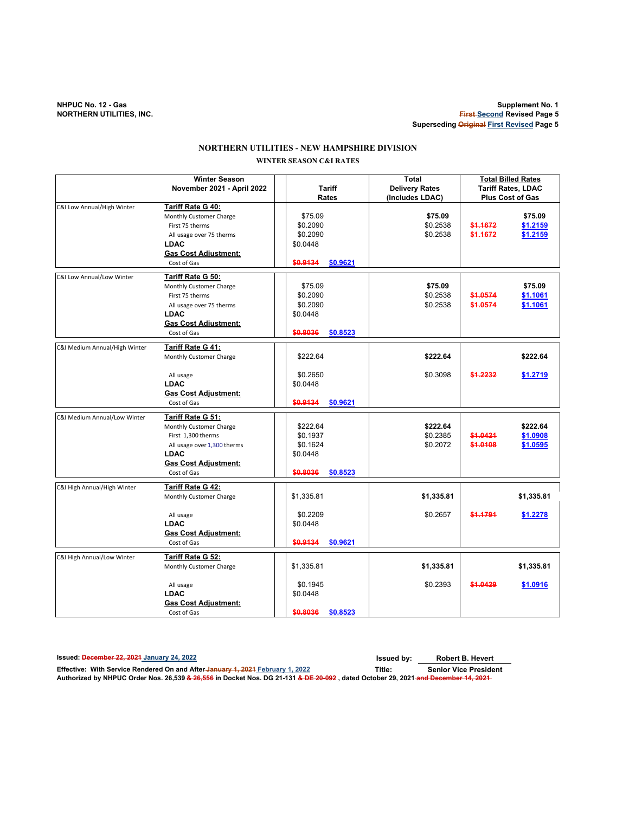**NHPUC No. 12 - Gas Supplement No. 1 First Second Revised Page 5 Superseding Original First Revised Page 5**

## **WINTER SEASON C&I RATES NORTHERN UTILITIES - NEW HAMPSHIRE DIVISION**

|                               | <b>Winter Season</b><br>November 2021 - April 2022                                                                                                             | <b>Tariff</b>                                            |          | <b>Total</b><br><b>Delivery Rates</b> |                      | <b>Total Billed Rates</b><br><b>Tariff Rates, LDAC</b> |
|-------------------------------|----------------------------------------------------------------------------------------------------------------------------------------------------------------|----------------------------------------------------------|----------|---------------------------------------|----------------------|--------------------------------------------------------|
|                               |                                                                                                                                                                | Rates                                                    |          | (Includes LDAC)                       |                      | <b>Plus Cost of Gas</b>                                |
| C&I Low Annual/High Winter    | Tariff Rate G 40:<br>Monthly Customer Charge<br>First 75 therms<br>All usage over 75 therms<br><b>LDAC</b>                                                     | \$75.09<br>\$0.2090<br>\$0.2090<br>\$0.0448              |          | \$75.09<br>\$0.2538<br>\$0.2538       | \$1.1672<br>\$1.1672 | \$75.09<br>\$1.2159<br>\$1.2159                        |
|                               | <b>Gas Cost Adjustment:</b><br>Cost of Gas                                                                                                                     | \$0.9134                                                 | \$0.9621 |                                       |                      |                                                        |
| C&I Low Annual/Low Winter     | Tariff Rate G 50:                                                                                                                                              |                                                          |          |                                       |                      |                                                        |
|                               | Monthly Customer Charge<br>First 75 therms<br>All usage over 75 therms<br><b>LDAC</b><br><b>Gas Cost Adjustment:</b>                                           | \$75.09<br>\$0.2090<br>\$0.2090<br>\$0.0448              |          | \$75.09<br>\$0.2538<br>\$0.2538       | \$1.0574<br>\$1.0574 | \$75.09<br>\$1.1061<br>\$1.1061                        |
|                               | Cost of Gas                                                                                                                                                    | \$0.8036                                                 | \$0.8523 |                                       |                      |                                                        |
| C&I Medium Annual/High Winter | Tariff Rate G 41:<br>Monthly Customer Charge                                                                                                                   | \$222.64                                                 |          | \$222.64                              |                      | \$222.64                                               |
|                               | All usage<br><b>LDAC</b><br>Gas Cost Adjustment:                                                                                                               | \$0.2650<br>\$0.0448                                     |          | \$0.3098                              | \$1,2232             | \$1.2719                                               |
|                               | Cost of Gas                                                                                                                                                    | \$0.9134                                                 | \$0.9621 |                                       |                      |                                                        |
| C&I Medium Annual/Low Winter  | Tariff Rate G 51:<br>Monthly Customer Charge<br>First 1,300 therms<br>All usage over 1,300 therms<br><b>LDAC</b><br><b>Gas Cost Adjustment:</b><br>Cost of Gas | \$222.64<br>\$0.1937<br>\$0.1624<br>\$0.0448<br>\$0.8036 | \$0.8523 | \$222.64<br>\$0.2385<br>\$0.2072      | \$1.0421<br>\$1.0108 | \$222.64<br>\$1.0908<br>\$1.0595                       |
| C&I High Annual/High Winter   | Tariff Rate G 42:                                                                                                                                              |                                                          |          | \$1,335.81                            |                      |                                                        |
|                               | Monthly Customer Charge<br>All usage<br><b>LDAC</b><br><b>Gas Cost Adjustment:</b><br>Cost of Gas                                                              | \$1,335.81<br>\$0.2209<br>\$0.0448<br>\$0.9134           | \$0.9621 | \$0.2657                              | \$1.1791             | \$1,335.81<br>\$1.2278                                 |
| C&I High Annual/Low Winter    | Tariff Rate G 52:                                                                                                                                              |                                                          |          |                                       |                      |                                                        |
|                               | Monthly Customer Charge                                                                                                                                        | \$1,335.81                                               |          | \$1,335.81                            |                      | \$1,335.81                                             |
|                               | All usage<br><b>LDAC</b><br><b>Gas Cost Adjustment:</b><br>Cost of Gas                                                                                         | \$0.1945<br>\$0.0448<br>\$0.8036                         | \$0.8523 | \$0.2393                              | \$1.0429             | \$1.0916                                               |
|                               |                                                                                                                                                                |                                                          |          |                                       |                      |                                                        |

**Issued: December 22, 2021 January 24, 2022 Issued by:**

**Robert B. Hevert**

Effective: With Service Rendered On and After-January 1, 2021 February 1, 2022<br>Authorized by NHPUC Order Nos. 26,539 <del>& 26,556</del> in Docket Nos. DG 21-131 <del>& DE 20-092</del> , dated October 29, 2021-<del>and December 14, 2021</del>-